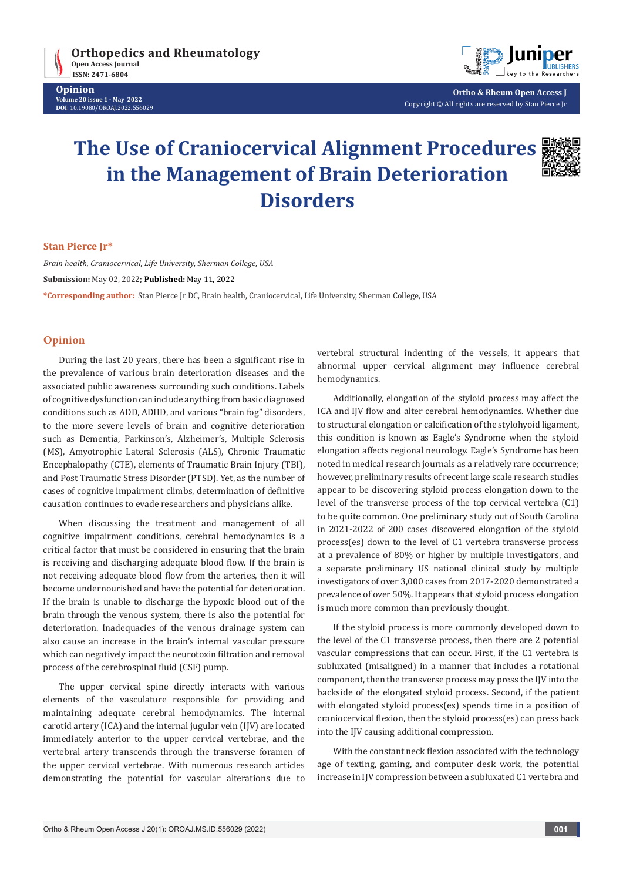

**Opinion Volume 20 issue 1 - May 2022 DOI**: [10.19080/OROAJ.2022.556](http://dx.doi.org/10.19080/OROAJ.2022.20.556029)029



**Ortho & Rheum Open Access J** Copyright © All rights are reserved by Stan Pierce Jr

# **The Use of Craniocervical Alignment Procedures in the Management of Brain Deterioration Disorders**



#### **Stan Pierce Jr\***

*Brain health, Craniocervical, Life University, Sherman College, USA* **Submission:** May 02, 2022; **Published:** May 11, 2022 **\*Corresponding author:** Stan Pierce Jr DC, Brain health, Craniocervical, Life University, Sherman College, USA

### **Opinion**

During the last 20 years, there has been a significant rise in the prevalence of various brain deterioration diseases and the associated public awareness surrounding such conditions. Labels of cognitive dysfunction can include anything from basic diagnosed conditions such as ADD, ADHD, and various "brain fog" disorders, to the more severe levels of brain and cognitive deterioration such as Dementia, Parkinson's, Alzheimer's, Multiple Sclerosis (MS), Amyotrophic Lateral Sclerosis (ALS), Chronic Traumatic Encephalopathy (CTE), elements of Traumatic Brain Injury (TBI), and Post Traumatic Stress Disorder (PTSD). Yet, as the number of cases of cognitive impairment climbs, determination of definitive causation continues to evade researchers and physicians alike.

When discussing the treatment and management of all cognitive impairment conditions, cerebral hemodynamics is a critical factor that must be considered in ensuring that the brain is receiving and discharging adequate blood flow. If the brain is not receiving adequate blood flow from the arteries, then it will become undernourished and have the potential for deterioration. If the brain is unable to discharge the hypoxic blood out of the brain through the venous system, there is also the potential for deterioration. Inadequacies of the venous drainage system can also cause an increase in the brain's internal vascular pressure which can negatively impact the neurotoxin filtration and removal process of the cerebrospinal fluid (CSF) pump.

The upper cervical spine directly interacts with various elements of the vasculature responsible for providing and maintaining adequate cerebral hemodynamics. The internal carotid artery (ICA) and the internal jugular vein (IJV) are located immediately anterior to the upper cervical vertebrae, and the vertebral artery transcends through the transverse foramen of the upper cervical vertebrae. With numerous research articles demonstrating the potential for vascular alterations due to

vertebral structural indenting of the vessels, it appears that abnormal upper cervical alignment may influence cerebral hemodynamics.

Additionally, elongation of the styloid process may affect the ICA and IJV flow and alter cerebral hemodynamics. Whether due to structural elongation or calcification of the stylohyoid ligament, this condition is known as Eagle's Syndrome when the styloid elongation affects regional neurology. Eagle's Syndrome has been noted in medical research journals as a relatively rare occurrence; however, preliminary results of recent large scale research studies appear to be discovering styloid process elongation down to the level of the transverse process of the top cervical vertebra (C1) to be quite common. One preliminary study out of South Carolina in 2021-2022 of 200 cases discovered elongation of the styloid process(es) down to the level of C1 vertebra transverse process at a prevalence of 80% or higher by multiple investigators, and a separate preliminary US national clinical study by multiple investigators of over 3,000 cases from 2017-2020 demonstrated a prevalence of over 50%. It appears that styloid process elongation is much more common than previously thought.

If the styloid process is more commonly developed down to the level of the C1 transverse process, then there are 2 potential vascular compressions that can occur. First, if the C1 vertebra is subluxated (misaligned) in a manner that includes a rotational component, then the transverse process may press the IJV into the backside of the elongated styloid process. Second, if the patient with elongated styloid process(es) spends time in a position of craniocervical flexion, then the styloid process(es) can press back into the IJV causing additional compression.

With the constant neck flexion associated with the technology age of texting, gaming, and computer desk work, the potential increase in IJV compression between a subluxated C1 vertebra and